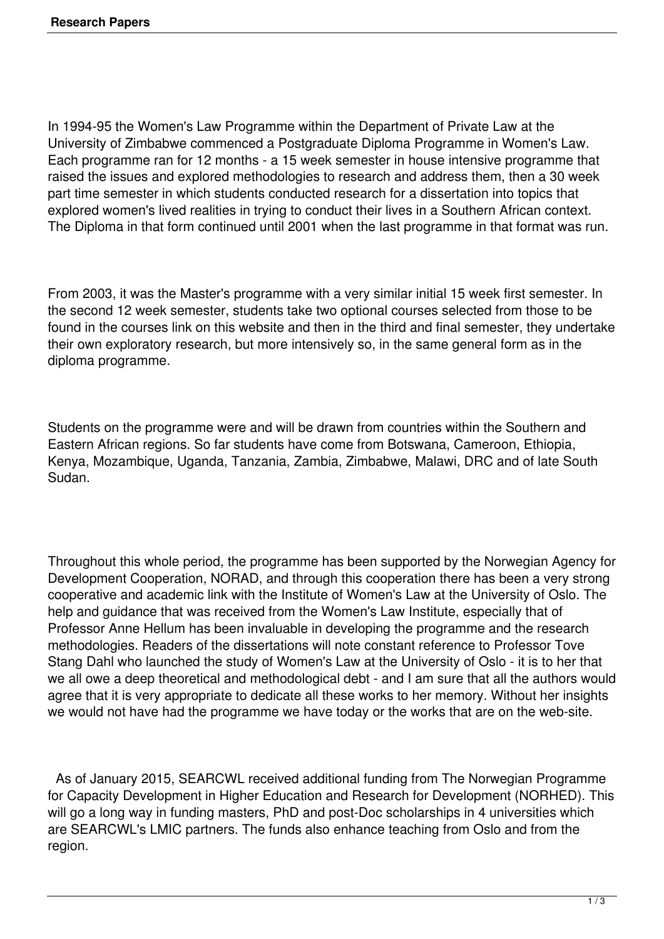In 1994-95 the Women's Law Programme within the Department of Private Law at the University of Zimbabwe commenced a Postgraduate Diploma Programme in Women's Law. Each programme ran for 12 months - a 15 week semester in house intensive programme that raised the issues and explored methodologies to research and address them, then a 30 week part time semester in which students conducted research for a dissertation into topics that explored women's lived realities in trying to conduct their lives in a Southern African context. The Diploma in that form continued until 2001 when the last programme in that format was run.

From 2003, it was the Master's programme with a very similar initial 15 week first semester. In the second 12 week semester, students take two optional courses selected from those to be found in the courses link on this website and then in the third and final semester, they undertake their own exploratory research, but more intensively so, in the same general form as in the diploma programme.

Students on the programme were and will be drawn from countries within the Southern and Eastern African regions. So far students have come from Botswana, Cameroon, Ethiopia, Kenya, Mozambique, Uganda, Tanzania, Zambia, Zimbabwe, Malawi, DRC and of late South Sudan.

Throughout this whole period, the programme has been supported by the Norwegian Agency for Development Cooperation, NORAD, and through this cooperation there has been a very strong cooperative and academic link with the Institute of Women's Law at the University of Oslo. The help and guidance that was received from the Women's Law Institute, especially that of Professor Anne Hellum has been invaluable in developing the programme and the research methodologies. Readers of the dissertations will note constant reference to Professor Tove Stang Dahl who launched the study of Women's Law at the University of Oslo - it is to her that we all owe a deep theoretical and methodological debt - and I am sure that all the authors would agree that it is very appropriate to dedicate all these works to her memory. Without her insights we would not have had the programme we have today or the works that are on the web-site.

 As of January 2015, SEARCWL received additional funding from The Norwegian Programme for Capacity Development in Higher Education and Research for Development (NORHED). This will go a long way in funding masters, PhD and post-Doc scholarships in 4 universities which are SEARCWL's LMIC partners. The funds also enhance teaching from Oslo and from the region.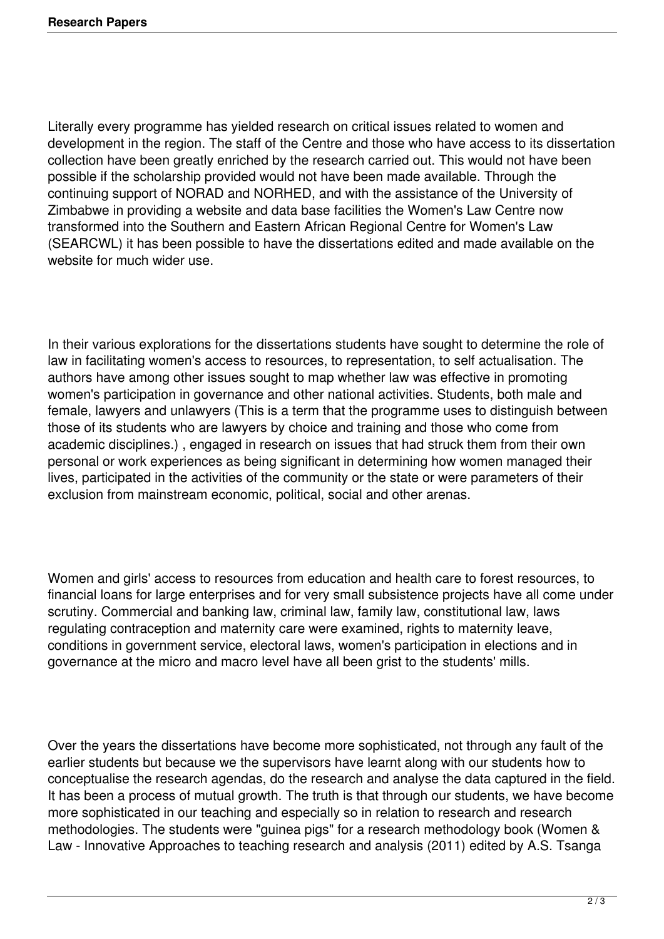Literally every programme has yielded research on critical issues related to women and development in the region. The staff of the Centre and those who have access to its dissertation collection have been greatly enriched by the research carried out. This would not have been possible if the scholarship provided would not have been made available. Through the continuing support of NORAD and NORHED, and with the assistance of the University of Zimbabwe in providing a website and data base facilities the Women's Law Centre now transformed into the Southern and Eastern African Regional Centre for Women's Law (SEARCWL) it has been possible to have the dissertations edited and made available on the website for much wider use.

In their various explorations for the dissertations students have sought to determine the role of law in facilitating women's access to resources, to representation, to self actualisation. The authors have among other issues sought to map whether law was effective in promoting women's participation in governance and other national activities. Students, both male and female, lawyers and unlawyers (This is a term that the programme uses to distinguish between those of its students who are lawyers by choice and training and those who come from academic disciplines.) , engaged in research on issues that had struck them from their own personal or work experiences as being significant in determining how women managed their lives, participated in the activities of the community or the state or were parameters of their exclusion from mainstream economic, political, social and other arenas.

Women and girls' access to resources from education and health care to forest resources, to financial loans for large enterprises and for very small subsistence projects have all come under scrutiny. Commercial and banking law, criminal law, family law, constitutional law, laws regulating contraception and maternity care were examined, rights to maternity leave, conditions in government service, electoral laws, women's participation in elections and in governance at the micro and macro level have all been grist to the students' mills.

Over the years the dissertations have become more sophisticated, not through any fault of the earlier students but because we the supervisors have learnt along with our students how to conceptualise the research agendas, do the research and analyse the data captured in the field. It has been a process of mutual growth. The truth is that through our students, we have become more sophisticated in our teaching and especially so in relation to research and research methodologies. The students were "guinea pigs" for a research methodology book (Women & Law - Innovative Approaches to teaching research and analysis (2011) edited by A.S. Tsanga